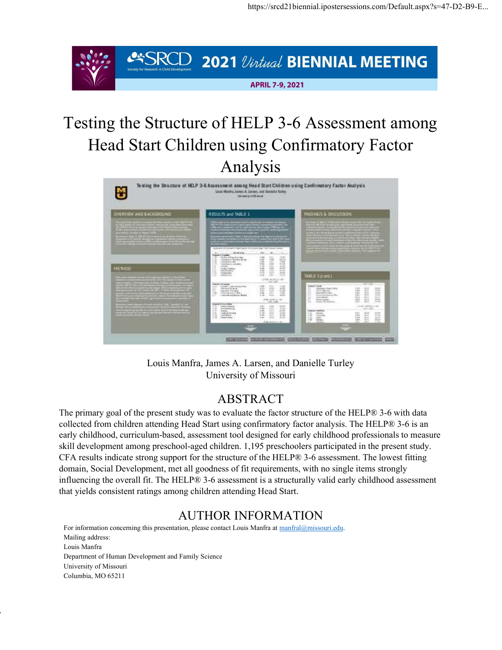

# Testing the Structure of HELP 3-6 Assessment among Head Start Children using Confirmatory Factor Analysis



Louis Manfra, James A. Larsen, and Danielle Turley University of Missouri

#### ABSTRACT

The primary goal of the present study was to evaluate the factor structure of the HELP® 3-6 with data collected from children attending Head Start using confirmatory factor analysis. The HELP® 3-6 is an early childhood, curriculum-based, assessment tool designed for early childhood professionals to measure skill development among preschool-aged children. 1,195 preschoolers participated in the present study. CFA results indicate strong support for the structure of the HELP® 3-6 assessment. The lowest fitting domain, Social Development, met all goodness of fit requirements, with no single items strongly influencing the overall fit. The HELP® 3-6 assessment is a structurally valid early childhood assessment that yields consistent ratings among children attending Head Start.

#### AUTHOR INFORMATION

For information concerning this presentation, please contact Louis Manfra at manfral@missouri.edu. Mailing address: Louis Manfra Department of Human Development and Family Science University of Missouri Columbia, MO 65211

of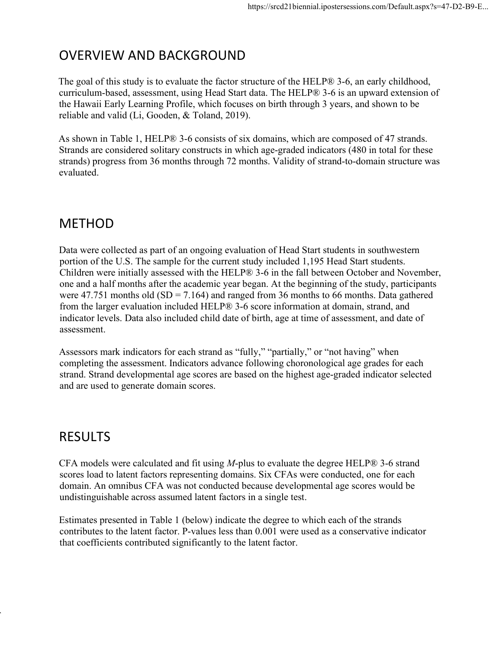## OVERVIEW AND BACKGROUND

The goal of this study is to evaluate the factor structure of the HELP® 3-6, an early childhood, curriculum-based, assessment, using Head Start data. The HELP® 3-6 is an upward extension of the Hawaii Early Learning Profile, which focuses on birth through 3 years, and shown to be reliable and valid (Li, Gooden, & Toland, 2019).

As shown in Table 1, HELP® 3-6 consists of six domains, which are composed of 47 strands. Strands are considered solitary constructs in which age-graded indicators (480 in total for these strands) progress from 36 months through 72 months. Validity of strand-to-domain structure was evaluated.

### METHOD

Data were collected as part of an ongoing evaluation of Head Start students in southwestern portion of the U.S. The sample for the current study included 1,195 Head Start students. Children were initially assessed with the HELP® 3-6 in the fall between October and November, one and a half months after the academic year began. At the beginning of the study, participants were  $47.751$  months old (SD = 7.164) and ranged from 36 months to 66 months. Data gathered from the larger evaluation included HELP® 3-6 score information at domain, strand, and indicator levels. Data also included child date of birth, age at time of assessment, and date of assessment.

Assessors mark indicators for each strand as "fully," "partially," or "not having" when completing the assessment. Indicators advance following choronological age grades for each strand. Strand developmental age scores are based on the highest age-graded indicator selected and are used to generate domain scores.

## RESULTS

of

CFA models were calculated and fit using  $M$ -plus to evaluate the degree HELP® 3-6 strand scores load to latent factors representing domains. Six CFAs were conducted, one for each domain. An omnibus CFA was not conducted because developmental age scores would be undistinguishable across assumed latent factors in a single test.

Estimates presented in Table 1 (below) indicate the degree to which each of the strands contributes to the latent factor. P-values less than 0.001 were used as a conservative indicator that coefficients contributed significantly to the latent factor.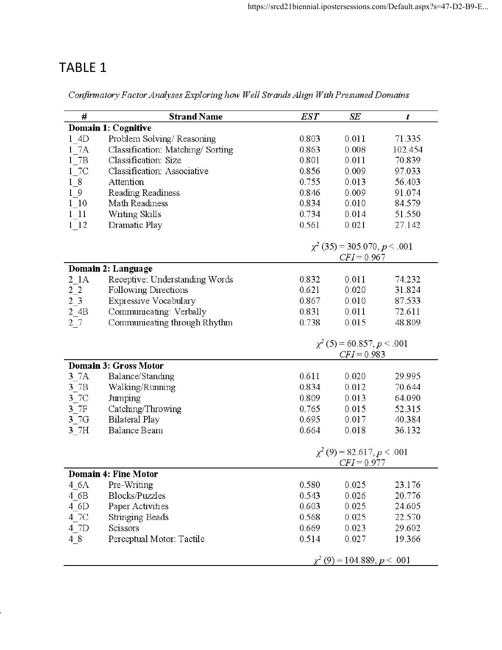# TABLE 1

Confirmatory Factor Analyses Exploring how Well Strands Align With Presumed Domains

| #                          | <b>Strand Name</b>               | <b>EST</b>                      | SE                                | t       |  |  |  |  |
|----------------------------|----------------------------------|---------------------------------|-----------------------------------|---------|--|--|--|--|
| <b>Domain 1: Cognitive</b> |                                  |                                 |                                   |         |  |  |  |  |
| 1 4D                       | Problem Solving/Reasoning        | 0.803                           | 0.011                             | 71.335  |  |  |  |  |
| 17A                        | Classification: Matching/Sorting | 0.863                           | 0.008                             | 102.454 |  |  |  |  |
| 17B                        | Classification: Size             | 0.801                           | 0.011                             | 70.839  |  |  |  |  |
| 1 7C                       | Classification: Associative      | 0.856                           | 0.009                             | 97.033  |  |  |  |  |
| 18                         | Attention                        | 0.755                           | 0.013                             | 56.403  |  |  |  |  |
| 19                         | Reading Readiness                | 0.846                           | 0.009                             | 91.074  |  |  |  |  |
| 1 10                       | Math Readiness                   | 0.834                           | 0.010                             | 84.579  |  |  |  |  |
| 111                        | Writing Skills                   | 0.734                           | 0.014                             | 51.550  |  |  |  |  |
| 1 12                       | Dramatic Play                    | 0.561                           | 0.021                             | 27.142  |  |  |  |  |
|                            |                                  |                                 |                                   |         |  |  |  |  |
|                            |                                  |                                 | $\chi^2$ (35) = 305.070, p < .001 |         |  |  |  |  |
|                            |                                  | $CFI = 0.967$                   |                                   |         |  |  |  |  |
|                            | Domain 2: Language               |                                 |                                   |         |  |  |  |  |
| $2$ $1A$                   | Receptive: Understanding Words   | 0.832                           | 0.011                             | 74.232  |  |  |  |  |
| 2 <sub>2</sub>             | Following Directions             | 0.621                           | 0.020                             | 31.824  |  |  |  |  |
| $2\overline{3}$            | Expressive Vocabulary            | 0.867                           | 0.010                             | 87.533  |  |  |  |  |
| 2 4B                       | Communicating: Verbally          | 0.831                           | 0.011                             | 72.611  |  |  |  |  |
| 27                         | Communicating through Rhythm     | 0.738                           | 0.015                             | 48.809  |  |  |  |  |
|                            |                                  |                                 |                                   |         |  |  |  |  |
|                            |                                  | $\chi^2$ (5) = 60.857, p < .001 |                                   |         |  |  |  |  |
|                            |                                  |                                 | $CFI = 0.983$                     |         |  |  |  |  |
|                            | <b>Domain 3: Gross Motor</b>     |                                 |                                   |         |  |  |  |  |
| 3 7A                       | Balance/Standing                 | 0.611                           | 0.020                             | 29.995  |  |  |  |  |
| 3 7B                       | Walking/Running                  | 0.834                           | 0.012                             | 70.644  |  |  |  |  |
| 3 7C                       | Jumping                          | 0.809                           | 0.013                             | 64.090  |  |  |  |  |
| 3 7F                       | Catching/Throwing                | 0.765                           | 0.015                             | 52.315  |  |  |  |  |
| 3 7G                       | <b>Bilateral Play</b>            | 0.695                           | 0.017                             | 40.384  |  |  |  |  |
| 3 7H                       | <b>Balance Beam</b>              | 0.664                           | 0.018                             | 36.132  |  |  |  |  |
|                            |                                  |                                 |                                   |         |  |  |  |  |
|                            |                                  | $\chi^2$ (9) = 82.617, p < .001 |                                   |         |  |  |  |  |
|                            |                                  | $CFI = 0.977$                   |                                   |         |  |  |  |  |
|                            | <b>Domain 4: Fine Motor</b>      |                                 |                                   |         |  |  |  |  |
| 4 6A                       | Pre-Writing                      | 0.580                           | 0.025                             | 23.176  |  |  |  |  |
| 4 6B                       | <b>Blocks/Puzzles</b>            | 0.543                           | 0.026                             | 20.776  |  |  |  |  |
| 4 6D                       | Paper Activities                 | 0.603                           | 0.025                             | 24.605  |  |  |  |  |
| 4 7C                       | <b>Stringing Beads</b>           | 0.568                           | 0.025                             | 22.570  |  |  |  |  |
| 4 7D                       | Scissors                         | 0.669                           | 0.023                             | 29.602  |  |  |  |  |
| 48                         | Perceptual Motor: Tactile        | 0.514                           | 0.027                             | 19.366  |  |  |  |  |
|                            |                                  |                                 | $\chi^2$ (9) = 104.889, p < .001  |         |  |  |  |  |